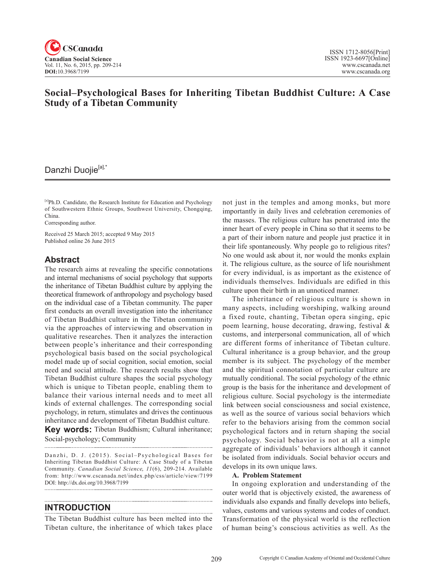

# **Social–Psychological Bases for Inheriting Tibetan Buddhist Culture: A Case Study of a Tibetan Community**

# Danzhi Duojie<sup>[a],\*</sup>

[a]Ph.D. Candidate, the Research Institute for Education and Psychology of Southwestern Ethnic Groups, Southwest University, Chongqing, China.

Corresponding author.

Received 25 March 2015; accepted 9 May 2015 Published online 26 June 2015

## **Abstract**

The research aims at revealing the specific connotations and internal mechanisms of social psychology that supports the inheritance of Tibetan Buddhist culture by applying the theoretical framework of anthropology and psychology based on the individual case of a Tibetan community. The paper first conducts an overall investigation into the inheritance of Tibetan Buddhist culture in the Tibetan community via the approaches of interviewing and observation in qualitative researches. Then it analyzes the interaction between people's inheritance and their corresponding psychological basis based on the social psychological model made up of social cognition, social emotion, social need and social attitude. The research results show that Tibetan Buddhist culture shapes the social psychology which is unique to Tibetan people, enabling them to balance their various internal needs and to meet all kinds of external challenges. The corresponding social psychology, in return, stimulates and drives the continuous inheritance and development of Tibetan Buddhist culture.

**Key words:** Tibetan Buddhism; Cultural inheritance; Social-psychology; Community

Danzhi, D. J. (2015). Social-Psychological Bases for Inheriting Tibetan Buddhist Culture: A Case Study of a Tibetan Community. *Canadian Social Science*, 11(6), 209-214. Available from: http://www.cscanada.net/index.php/css/article/view/7199 DOI: http://dx.doi.org/10.3968/7199

## **INTRODUCTION**

The Tibetan Buddhist culture has been melted into the Tibetan culture, the inheritance of which takes place not just in the temples and among monks, but more importantly in daily lives and celebration ceremonies of the masses. The religious culture has penetrated into the inner heart of every people in China so that it seems to be a part of their inborn nature and people just practice it in their life spontaneously. Why people go to religious rites? No one would ask about it, nor would the monks explain it. The religious culture, as the source of life nourishment for every individual, is as important as the existence of individuals themselves. Individuals are edified in this culture upon their birth in an unnoticed manner.

The inheritance of religious culture is shown in many aspects, including worshiping, walking around a fixed route, chanting, Tibetan opera singing, epic poem learning, house decorating, drawing, festival & customs, and interpersonal communication, all of which are different forms of inheritance of Tibetan culture. Cultural inheritance is a group behavior, and the group member is its subject. The psychology of the member and the spiritual connotation of particular culture are mutually conditional. The social psychology of the ethnic group is the basis for the inheritance and development of religious culture. Social psychology is the intermediate link between social consciousness and social existence, as well as the source of various social behaviors which refer to the behaviors arising from the common social psychological factors and in return shaping the social psychology. Social behavior is not at all a simple aggregate of individuals' behaviors although it cannot be isolated from individuals. Social behavior occurs and develops in its own unique laws.

#### **A. Problem Statement**

In ongoing exploration and understanding of the outer world that is objectively existed, the awareness of individuals also expands and finally develops into beliefs, values, customs and various systems and codes of conduct. Transformation of the physical world is the reflection of human being's conscious activities as well. As the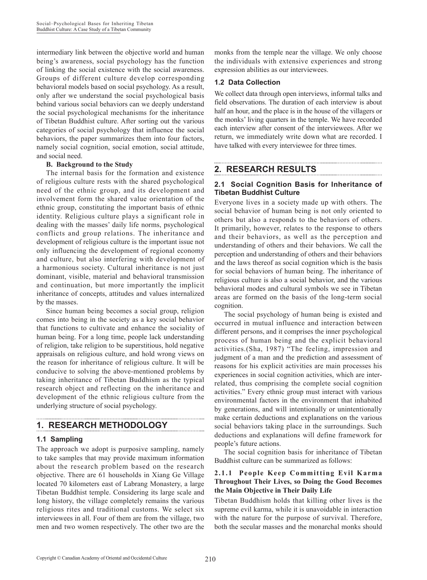intermediary link between the objective world and human being's awareness, social psychology has the function of linking the social existence with the social awareness. Groups of different culture develop corresponding behavioral models based on social psychology. As a result, only after we understand the social psychological basis behind various social behaviors can we deeply understand the social psychological mechanisms for the inheritance of Tibetan Buddhist culture. After sorting out the various categories of social psychology that influence the social behaviors, the paper summarizes them into four factors, namely social cognition, social emotion, social attitude, and social need.

#### **B. Background to the Study**

The internal basis for the formation and existence of religious culture rests with the shared psychological need of the ethnic group, and its development and involvement form the shared value orientation of the ethnic group, constituting the important basis of ethnic identity. Religious culture plays a significant role in dealing with the masses' daily life norms, psychological conflicts and group relations. The inheritance and development of religious culture is the important issue not only influencing the development of regional economy and culture, but also interfering with development of a harmonious society. Cultural inheritance is not just dominant, visible, material and behavioral transmission and continuation, but more importantly the implicit inheritance of concepts, attitudes and values internalized by the masses.

Since human being becomes a social group, religion comes into being in the society as a key social behavior that functions to cultivate and enhance the sociality of human being. For a long time, people lack understanding of religion, take religion to be superstitious, hold negative appraisals on religious culture, and hold wrong views on the reason for inheritance of religious culture. It will be conducive to solving the above-mentioned problems by taking inheritance of Tibetan Buddhism as the typical research object and reflecting on the inheritance and development of the ethnic religious culture from the underlying structure of social psychology.

# **1. RESEARCH METHODOLOGY**

#### **1.1 Sampling**

The approach we adopt is purposive sampling, namely to take samples that may provide maximum information about the research problem based on the research objective. There are 61 households in Xiang Ge Village located 70 kilometers east of Labrang Monastery, a large Tibetan Buddhist temple. Considering its large scale and long history, the village completely remains the various religious rites and traditional customs. We select six interviewees in all. Four of them are from the village, two men and two women respectively. The other two are the monks from the temple near the village. We only choose the individuals with extensive experiences and strong expression abilities as our interviewees.

## **1.2 Data Collection**

We collect data through open interviews, informal talks and field observations. The duration of each interview is about half an hour, and the place is in the house of the villagers or the monks' living quarters in the temple. We have recorded each interview after consent of the interviewees. After we return, we immediately write down what are recorded. I have talked with every interviewee for three times.

## **2. RESEARCH RESULTS**

## **2.1 Social Cognition Basis for Inheritance of Tibetan Buddhist Culture**

Everyone lives in a society made up with others. The social behavior of human being is not only oriented to others but also a responds to the behaviors of others. It primarily, however, relates to the response to others and their behaviors, as well as the perception and understanding of others and their behaviors. We call the perception and understanding of others and their behaviors and the laws thereof as social cognition which is the basis for social behaviors of human being. The inheritance of religious culture is also a social behavior, and the various behavioral modes and cultural symbols we see in Tibetan areas are formed on the basis of the long-term social cognition.

The social psychology of human being is existed and occurred in mutual influence and interaction between different persons, and it comprises the inner psychological process of human being and the explicit behavioral activities.(Sha, 1987) "The feeling, impression and judgment of a man and the prediction and assessment of reasons for his explicit activities are main processes his experiences in social cognition activities, which are interrelated, thus comprising the complete social cognition activities." Every ethnic group must interact with various environmental factors in the environment that inhabited by generations, and will intentionally or unintentionally make certain deductions and explanations on the various social behaviors taking place in the surroundings. Such deductions and explanations will define framework for people's future actions.

The social cognition basis for inheritance of Tibetan Buddhist culture can be summarized as follows:

### **2.1.1 People Keep Committing Evil Karma Throughout Their Lives, so Doing the Good Becomes the Main Objective in Their Daily Life**

Tibetan Buddhism holds that killing other lives is the supreme evil karma, while it is unavoidable in interaction with the nature for the purpose of survival. Therefore, both the secular masses and the monarchal monks should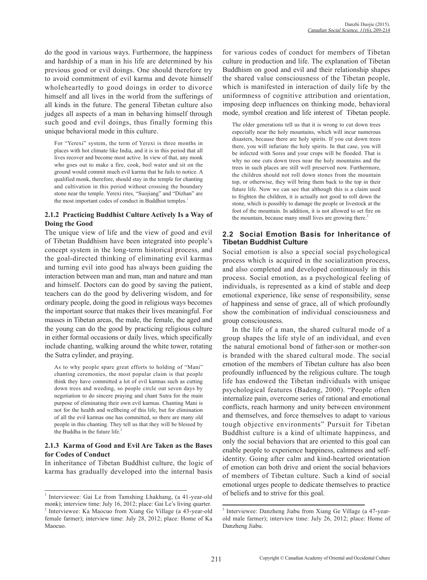do the good in various ways. Furthermore, the happiness and hardship of a man in his life are determined by his previous good or evil doings. One should therefore try to avoid commitment of evil karma and devote himself wholeheartedly to good doings in order to divorce himself and all lives in the world from the sufferings of all kinds in the future. The general Tibetan culture also judges all aspects of a man in behaving himself through such good and evil doings, thus finally forming this unique behavioral mode in this culture.

For "Yerexi" system, the term of Yerexi is three months in places with hot climate like India, and it is in this period that all lives recover and become most active. In view of that, any monk who goes out to make a fire, cook, boil water and sit on the ground would commit much evil karma that he fails to notice. A qualified monk, therefore, should stay in the temple for chanting and cultivation in this period without crossing the boundary stone near the temple. Yerexi rites, "Suojiang" and "Dizhan" are the most important codes of conduct in Buddhist temples.<sup>1</sup>

#### **2.1.2 Practicing Buddhist Culture Actively Is a Way of Doing the Good**

The unique view of life and the view of good and evil of Tibetan Buddhism have been integrated into people's concept system in the long-term historical process, and the goal-directed thinking of eliminating evil karmas and turning evil into good has always been guiding the interaction between man and man, man and nature and man and himself. Doctors can do good by saving the patient, teachers can do the good by delivering wisdom, and for ordinary people, doing the good in religious ways becomes the important source that makes their lives meaningful. For masses in Tibetan areas, the male, the female, the aged and the young can do the good by practicing religious culture in either formal occasions or daily lives, which specifically include chanting, walking around the white tower, rotating the Sutra cylinder, and praying.

As to why people spare great efforts to holding of "Mani" chanting ceremonies, the most popular claim is that people think they have committed a lot of evil karmas such as cutting down trees and weeding, so people circle out seven days by negotiation to do sincere praying and chant Sutra for the main purpose of eliminating their own evil karmas. Chanting Mani is not for the health and wellbeing of this life, but for elimination of all the evil karmas one has committed, so there are many old people in this chanting. They tell us that they will be blessed by the Buddha in the future life.<sup>2</sup>

#### **2.1.3 Karma of Good and Evil Are Taken as the Bases for Codes of Conduct**

In inheritance of Tibetan Buddhist culture, the logic of karma has gradually developed into the internal basis

for various codes of conduct for members of Tibetan culture in production and life. The explanation of Tibetan Buddhism on good and evil and their relationship shapes the shared value consciousness of the Tibetan people, which is manifested in interaction of daily life by the uniformness of cognitive attribution and orientation, imposing deep influences on thinking mode, behavioral mode, symbol creation and life interest of Tibetan people.

The older generations tell us that it is wrong to cut down trees especially near the holy mountains, which will incur numerous disasters, because there are holy spirits. If you cut down trees there, you will infuriate the holy spirits. In that case, you will be infected with Sores and your crops will be flooded. That is why no one cuts down trees near the holy mountains and the trees in such places are still well preserved now. Furthermore, the children should not roll down stones from the mountain top, or otherwise, they will bring them back to the top in their future life. Now we can see that although this is a claim used to frighten the children, it is actually not good to roll down the stone, which is possibly to damage the people or livestock at the foot of the mountain. In addition, it is not allowed to set fire on the mountain, because many small lives are growing there.<sup>3</sup>

## **2.2 Social Emotion Basis for Inheritance of Tibetan Buddhist Culture**

Social emotion is also a special social psychological process which is acquired in the socialization process, and also completed and developed continuously in this process. Social emotion, as a psychological feeling of individuals, is represented as a kind of stable and deep emotional experience, like sense of responsibility, sense of happiness and sense of grace, all of which profoundly show the combination of individual consciousness and group consciousness.

In the life of a man, the shared cultural mode of a group shapes the life style of an individual, and even the natural emotional bond of father-son or mother-son is branded with the shared cultural mode. The social emotion of the members of Tibetan culture has also been profoundly influenced by the religious culture. The tough life has endowed the Tibetan individuals with unique psychological features (Badeng, 2000). "People often internalize pain, overcome series of rational and emotional conflicts, reach harmony and unity between environment and themselves, and force themselves to adapt to various tough objective environments" Pursuit for Tibetan Buddhist culture is a kind of ultimate happiness, and only the social behaviors that are oriented to this goal can enable people to experience happiness, calmness and selfidentity. Going after calm and kind-hearted orientation of emotion can both drive and orient the social behaviors of members of Tibetan culture. Such a kind of social emotional urges people to dedicate themselves to practice of beliefs and to strive for this goal.

<sup>&</sup>lt;sup>1</sup> Interviewee: Gai Le from Tamshing Lhakhang, (a 41-year-old monk); interview time: July 16, 2012; place: Gai Le's living quarter. <sup>2</sup> Interviewee: Ka Maocuo from Xiang Ge Village (a 43-year-old female farmer); interview time: July 28, 2012; place: Home of Ka Maocuo.

<sup>&</sup>lt;sup>3</sup> Interviewee: Danzheng Jiabu from Xiang Ge Village (a 47-yearold male farmer); interview time: July 26, 2012; place: Home of Danzheng Jiabu.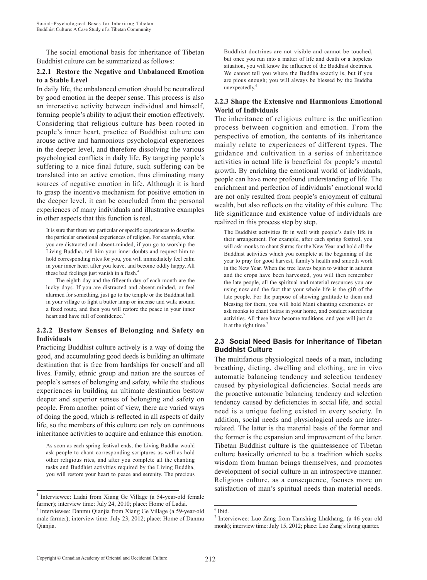The social emotional basis for inheritance of Tibetan Buddhist culture can be summarized as follows:

#### **2.2.1 Restore the Negative and Unbalanced Emotion to a Stable Level**

In daily life, the unbalanced emotion should be neutralized by good emotion in the deeper sense. This process is also an interactive activity between individual and himself, forming people's ability to adjust their emotion effectively. Considering that religious culture has been rooted in people's inner heart, practice of Buddhist culture can arouse active and harmonious psychological experiences in the deeper level, and therefore dissolving the various psychological conflicts in daily life. By targeting people's suffering to a nice final future, such suffering can be translated into an active emotion, thus eliminating many sources of negative emotion in life. Although it is hard to grasp the incentive mechanism for positive emotion in the deeper level, it can be concluded from the personal experiences of many individuals and illustrative examples in other aspects that this function is real.

It is sure that there are particular or specific experiences to describe the particular emotional experiences of religion. For example, when you are distracted and absent-minded, if you go to worship the Living Buddha, tell him your inner doubts and request him to hold corresponding rites for you, you will immediately feel calm in your inner heart after you leave, and become oddly happy. All these bad feelings just vanish in a flash.<sup>4</sup>

The eighth day and the fifteenth day of each month are the lucky days. If you are distracted and absent-minded, or feel alarmed for something, just go to the temple or the Buddhist hall in your village to light a butter lamp or incense and walk around a fixed route, and then you will restore the peace in your inner heart and have full of confidence.<sup>5</sup>

#### **2.2.2 Bestow Senses of Belonging and Safety on Individuals**

Practicing Buddhist culture actively is a way of doing the good, and accumulating good deeds is building an ultimate destination that is free from hardships for oneself and all lives. Family, ethnic group and nation are the sources of people's senses of belonging and safety, while the studious experiences in building an ultimate destination bestow deeper and superior senses of belonging and safety on people. From another point of view, there are varied ways of doing the good, which is reflected in all aspects of daily life, so the members of this culture can rely on continuous inheritance activities to acquire and enhance this emotion.

As soon as each spring festival ends, the Living Buddha would ask people to chant corresponding scriptures as well as hold other religious rites, and after you complete all the chanting tasks and Buddhist activities required by the Living Buddha, you will restore your heart to peace and serenity. The precious

Buddhist doctrines are not visible and cannot be touched, but once you run into a matter of life and death or a hopeless situation, you will know the influence of the Buddhist doctrines. We cannot tell you where the Buddha exactly is, but if you are pious enough; you will always be blessed by the Buddha unexpectedly $<sup>6</sup>$ </sup>

#### **2.2.3 Shape the Extensive and Harmonious Emotional World of Individuals**

The inheritance of religious culture is the unification process between cognition and emotion. From the perspective of emotion, the contents of its inheritance mainly relate to experiences of different types. The guidance and cultivation in a series of inheritance activities in actual life is beneficial for people's mental growth. By enriching the emotional world of individuals, people can have more profound understanding of life. The enrichment and perfection of individuals' emotional world are not only resulted from people's enjoyment of cultural wealth, but also reflects on the vitality of this culture. The life significance and existence value of individuals are realized in this process step by step.

The Buddhist activities fit in well with people's daily life in their arrangement. For example, after each spring festival, you will ask monks to chant Sutras for the New Year and hold all the Buddhist activities which you complete at the beginning of the year to pray for good harvest, family's health and smooth work in the New Year. When the tree leaves begin to wither in autumn and the crops have been harvested, you will then remember the late people, all the spiritual and material resources you are using now and the fact that your whole life is the gift of the late people. For the purpose of showing gratitude to them and blessing for them, you will hold Mani chanting ceremonies or ask monks to chant Sutras in your home, and conduct sacrificing activities. All these have become traditions, and you will just do it at the right time.<sup>7</sup>

#### **2.3 Social Need Basis for Inheritance of Tibetan Buddhist Culture**

The multifarious physiological needs of a man, including breathing, dieting, dwelling and clothing, are in vivo automatic balancing tendency and selection tendency caused by physiological deficiencies. Social needs are the proactive automatic balancing tendency and selection tendency caused by deficiencies in social life, and social need is a unique feeling existed in every society. In addition, social needs and physiological needs are interrelated. The latter is the material basis of the former and the former is the expansion and improvement of the latter. Tibetan Buddhist culture is the quintessence of Tibetan culture basically oriented to be a tradition which seeks wisdom from human beings themselves, and promotes development of social culture in an introspective manner. Religious culture, as a consequence, focuses more on satisfaction of man's spiritual needs than material needs.

<sup>4</sup> Interviewee: Ladai from Xiang Ge Village (a 54-year-old female farmer); interview time: July 24, 2010; place: Home of Ladai.

<sup>5</sup> Interviewee: Danmu Qianjia from Xiang Ge Village (a 59-year-old male farmer); interview time: July 23, 2012; place: Home of Danmu Qianjia.

<sup>6</sup> Ibid.

<sup>7</sup> Interviewee: Luo Zang from Tamshing Lhakhang, (a 46-year-old monk); interview time: July 15, 2012; place: Luo Zang's living quarter.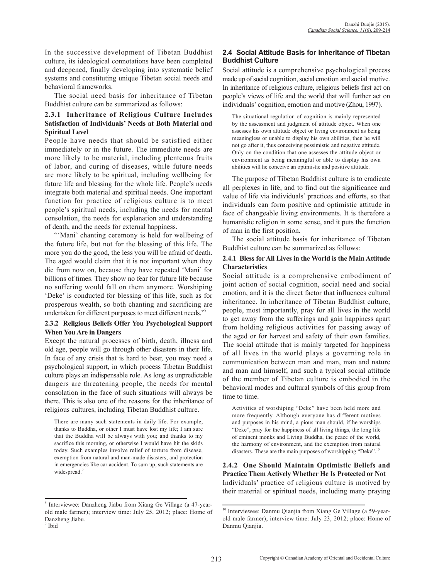In the successive development of Tibetan Buddhist culture, its ideological connotations have been completed and deepened, finally developing into systematic belief systems and constituting unique Tibetan social needs and behavioral frameworks.

The social need basis for inheritance of Tibetan Buddhist culture can be summarized as follows:

#### **2.3.1 Inheritance of Religious Culture Includes Satisfaction of Individuals' Needs at Both Material and Spiritual Level**

People have needs that should be satisfied either immediately or in the future. The immediate needs are more likely to be material, including plenteous fruits of labor, and curing of diseases, while future needs are more likely to be spiritual, including wellbeing for future life and blessing for the whole life. People's needs integrate both material and spiritual needs. One important function for practice of religious culture is to meet people's spiritual needs, including the needs for mental consolation, the needs for explanation and understanding of death, and the needs for external happiness.

"'Mani' chanting ceremony is held for wellbeing of the future life, but not for the blessing of this life. The more you do the good, the less you will be afraid of death. The aged would claim that it is not important when they die from now on, because they have repeated 'Mani' for billions of times. They show no fear for future life because no suffering would fall on them anymore. Worshiping 'Deke' is conducted for blessing of this life, such as for prosperous wealth, so both chanting and sacrificing are undertaken for different purposes to meet different needs."8

#### **2.3.2 Religious Beliefs Offer You Psychological Support When You Are in Dangers**

Except the natural processes of birth, death, illness and old age, people will go through other disasters in their life. In face of any crisis that is hard to bear, you may need a psychological support, in which process Tibetan Buddhist culture plays an indispensable role. As long as unpredictable dangers are threatening people, the needs for mental consolation in the face of such situations will always be there. This is also one of the reasons for the inheritance of religious cultures, including Tibetan Buddhist culture.

There are many such statements in daily life. For example, thanks to Buddha, or other I must have lost my life; I am sure that the Buddha will be always with you; and thanks to my sacrifice this morning, or otherwise I would have hit the skids today. Such examples involve relief of torture from disease, exemption from natural and man-made disasters, and protection in emergencies like car accident. To sum up, such statements are widespread.<sup>9</sup>

#### <sup>9</sup> Ibid

## **2.4 Social Attitude Basis for Inheritance of Tibetan Buddhist Culture**

Social attitude is a comprehensive psychological process made up of social cognition, social emotion and social motive. In inheritance of religious culture, religious beliefs first act on people's views of life and the world that will further act on individuals' cognition, emotion and motive (Zhou, 1997).

The situational regulation of cognition is mainly represented by the assessment and judgment of attitude object. When one assesses his own attitude object or living environment as being meaningless or unable to display his own abilities, then he will not go after it, thus conceiving pessimistic and negative attitude. Only on the condition that one assesses the attitude object or environment as being meaningful or able to display his own abilities will he conceive an optimistic and positive attitude.

The purpose of Tibetan Buddhist culture is to eradicate all perplexes in life, and to find out the significance and value of life via individuals' practices and efforts, so that individuals can form positive and optimistic attitude in face of changeable living environments. It is therefore a humanistic religion in some sense, and it puts the function of man in the first position.

The social attitude basis for inheritance of Tibetan Buddhist culture can be summarized as follows:

#### **2.4.1 Bless for All Lives in the World is the Main Attitude Characteristics**

Social attitude is a comprehensive embodiment of joint action of social cognition, social need and social emotion, and it is the direct factor that influences cultural inheritance. In inheritance of Tibetan Buddhist culture, people, most importantly, pray for all lives in the world to get away from the sufferings and gain happiness apart from holding religious activities for passing away of the aged or for harvest and safety of their own families. The social attitude that is mainly targeted for happiness of all lives in the world plays a governing role in communication between man and man, man and nature and man and himself, and such a typical social attitude of the member of Tibetan culture is embodied in the behavioral modes and cultural symbols of this group from time to time.

Activities of worshiping "Deke" have been held more and more frequently. Although everyone has different motives and purposes in his mind, a pious man should, if he worships "Deke", pray for the happiness of all living things, the long life of eminent monks and Living Buddha, the peace of the world, the harmony of environment, and the exemption from natural disasters. These are the main purposes of worshipping "Deke".<sup>10</sup>

**2.4.2 One Should Maintain Optimistic Beliefs and Practice Them Actively Whether He Is Protected or Not** Individuals' practice of religious culture is motived by their material or spiritual needs, including many praying

<sup>8</sup> Interviewee: Danzheng Jiabu from Xiang Ge Village (a 47-yearold male farmer); interview time: July 25, 2012; place: Home of Danzheng Jiabu.

<sup>&</sup>lt;sup>10</sup> Interviewee: Danmu Qianjia from Xiang Ge Village (a 59-yearold male farmer); interview time: July 23, 2012; place: Home of Danmu Qianjia.